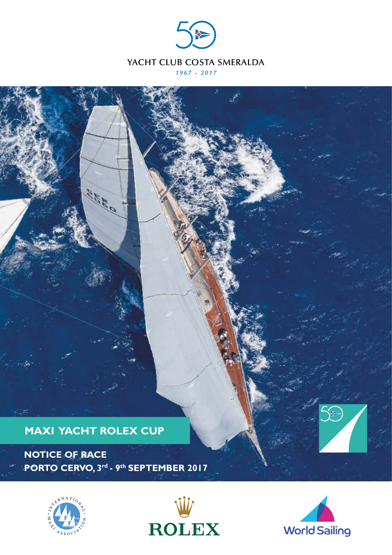



Contra C

**NOTICE OF RACE PORTO CERVO, 3rd - 9th SEPTEMBER 2017** 



**KOR** 





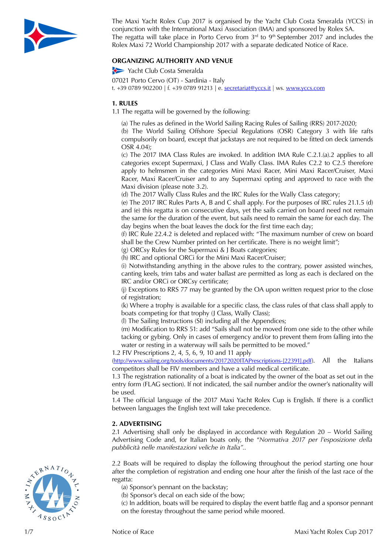

The Maxi Yacht Rolex Cup 2017 is organised by the Yacht Club Costa Smeralda (YCCS) in conjunction with the International Maxi Association (IMA) and sponsored by Rolex SA. The regatta will take place in Porto Cervo from  $3<sup>rd</sup>$  to  $9<sup>th</sup>$  September 2017 and includes the Rolex Maxi 72 World Championship 2017 with a separate dedicated Notice of Race.

# **ORGANIZING AUTHORITY AND VENUE**

Yacht Club Costa Smeralda

07021 Porto Cervo (OT) - Sardinia - Italy t. +39 0789 902200 | f. +39 0789 91213 | e. [secretariat@yccs.it |](mailto:secretariat@yccs.it |) ws. [www.yccs.com](http://www.yccs.com)

#### **1. RULES**

1.1 The regatta will be governed by the following:

(a) The rules as defined in the World Sailing Racing Rules of Sailing (RRS) 2017-2020;

(b) The World Sailing Offshore Special Regulations (OSR) Category 3 with life rafts compulsorily on board, except that jackstays are not required to be fitted on deck (amends OSR 4.04);

(c) The 2017 IMA Class Rules are invoked. In addition IMA Rule C.2.1.(a).2 applies to all categories except Supermaxi, J Class and Wally Class. IMA Rules C2.2 to C2.5 therefore apply to helmsmen in the categories Mini Maxi Racer, Mini Maxi Racer/Cruiser, Maxi Racer, Maxi Racer/Cruiser and to any Supermaxi opting and approved to race with the Maxi division (please note 3.2).

(d) The 2017 Wally Class Rules and the IRC Rules for the Wally Class category;

(e) The 2017 IRC Rules Parts A, B and C shall apply. For the purposes of IRC rules 21.1.5 (d) and (e) this regatta is on consecutive days, yet the sails carried on board need not remain the same for the duration of the event, but sails need to remain the same for each day. The day begins when the boat leaves the dock for the first time each day;

(f) IRC Rule 22.4.2 is deleted and replaced with: "The maximum number of crew on board shall be the Crew Number printed on her certificate. There is no weight limit";

(g) ORCsy Rules for the Supermaxi & J Boats categories;

(h) IRC and optional ORCi for the Mini Maxi Racer/Cruiser;

(i) Notwithstanding anything in the above rules to the contrary, power assisted winches, canting keels, trim tabs and water ballast are permitted as long as each is declared on the IRC and/or ORCi or ORCsy certificate;

(j) Exceptions to RRS 77 may be granted by the OA upon written request prior to the close of registration;

(k) Where a trophy is available for a specific class, the class rules of that class shall apply to boats competing for that trophy (J Class, Wally Class);

(l) The Sailing Instructions (SI) including all the Appendices;

(m) Modification to RRS 51: add "Sails shall not be moved from one side to the other while tacking or gybing. Only in cases of emergency and/or to prevent them from falling into the water or resting in a waterway will sails be permitted to be moved."

1.2 FIV Prescriptions 2, 4, 5, 6, 9, 10 and 11 apply

([http://www.sailing.org/tools/documents/20172020ITAPrescriptions-\[22391\].pdf](http://www.sailing.org/tools/documents/20172020ITAPrescriptions-%5b22391%5d.pdf)). All the Italians competitors shall be FIV members and have a valid medical certificate.

1.3 The registration nationality of a boat is indicated by the owner of the boat as set out in the entry form (FLAG section). If not indicated, the sail number and/or the owner's nationality will be used.

1.4 The official language of the 2017 Maxi Yacht Rolex Cup is English. If there is a conflict between languages the English text will take precedence.

# **2. ADVERTISING**

2.1 Advertising shall only be displayed in accordance with Regulation 20 – World Sailing Advertising Code and, for Italian boats only, the "*Normativa 2017 per l'esposizione della pubblicità nelle manifestazioni veliche in Italia".*.

2.2 Boats will be required to display the following throughout the period starting one hour after the completion of registration and ending one hour after the finish of the last race of the regatta:

- (a) Sponsor's pennant on the backstay;
- (b) Sponsor's decal on each side of the bow;

(c) In addition, boats will be required to display the event battle flag and a sponsor pennant on the forestay throughout the same period while moored.

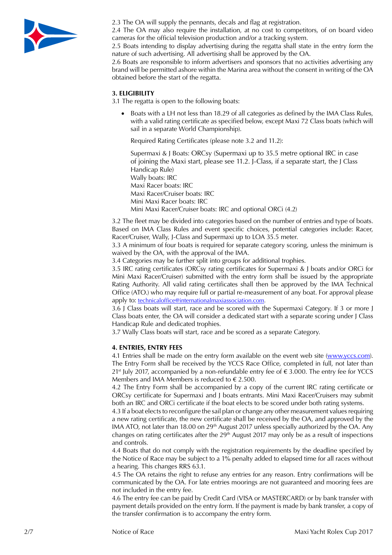

2.3 The OA will supply the pennants, decals and flag at registration.

2.4 The OA may also require the installation, at no cost to competitors, of on board video cameras for the official television production and/or a tracking system.

2.5 Boats intending to display advertising during the regatta shall state in the entry form the nature of such advertising. All advertising shall be approved by the OA.

2.6 Boats are responsible to inform advertisers and sponsors that no activities advertising any brand will be permitted ashore within the Marina area without the consent in writing of the OA obtained before the start of the regatta.

# **3. ELIGIBILITY**

3.1 The regatta is open to the following boats:

• Boats with a LH not less than 18.29 of all categories as defined by the IMA Class Rules, with a valid rating certificate as specified below, except Maxi 72 Class boats (which will sail in a separate World Championship).

Required Rating Certificates (please note 3.2 and 11.2):

Supermaxi & J Boats: ORCsy (Supermaxi up to 35.5 metre optional IRC in case of joining the Maxi start, please see 11.2. J-Class, if a separate start, the J Class Handicap Rule) Wally boats: IRC Maxi Racer boats: IRC Maxi Racer/Cruiser boats: IRC Mini Maxi Racer boats: IRC

Mini Maxi Racer/Cruiser boats: IRC and optional ORCi (4.2)

3.2 The fleet may be divided into categories based on the number of entries and type of boats. Based on IMA Class Rules and event specific choices, potential categories include: Racer, Racer/Cruiser, Wally, J-Class and Supermaxi up to LOA 35.5 meter.

3.3 A minimum of four boats is required for separate category scoring, unless the minimum is waived by the OA, with the approval of the IMA.

3.4 Categories may be further split into groups for additional trophies.

3.5 IRC rating certificates (ORCsy rating certificates for Supermaxi & J boats and/or ORCi for Mini Maxi Racer/Cruiser) submitted with the entry form shall be issued by the appropriate Rating Authority. All valid rating certificates shall then be approved by the IMA Technical Office (ATO.) who may require full or partial re-measurement of any boat. For approval please apply to: [technicaloffice@internationalmaxiassociation.com](mailto:technicaloffice@internationalmaxiassociation.com).

3.6 J Class boats will start, race and be scored with the Supermaxi Category. If 3 or more J Class boats enter, the OA will consider a dedicated start with a separate scoring under J Class Handicap Rule and dedicated trophies.

3.7 Wally Class boats will start, race and be scored as a separate Category.

#### **4. ENTRIES, ENTRY FEES**

4.1 Entries shall be made on the entry form available on the event web site [\(www.yccs.com\)](http://www.yccs.com/). The Entry Form shall be received by the YCCS Race Office, completed in full, not later than 21<sup>st</sup> July 2017, accompanied by a non-refundable entry fee of  $\epsilon$  3.000. The entry fee for YCCS Members and IMA Members is reduced to  $\epsilon$  2.500.

4.2 The Entry Form shall be accompanied by a copy of the current IRC rating certificate or ORCsy certificate for Supermaxi and J boats entrants. Mini Maxi Racer/Cruisers may submit both an IRC and ORCi certificate if the boat elects to be scored under both rating systems.

4.3 If a boat elects to reconfigure the sail plan or change any other measurement values requiring a new rating certificate, the new certificate shall be received by the OA, and approved by the IMA ATO, not later than 18.00 on  $29<sup>th</sup>$  August 2017 unless specially authorized by the OA. Any changes on rating certificates after the  $29<sup>th</sup>$  August 2017 may only be as a result of inspections and controls.

4.4 Boats that do not comply with the registration requirements by the deadline specified by the Notice of Race may be subject to a 1% penalty added to elapsed time for all races without a hearing. This changes RRS 63.1.

4.5 The OA retains the right to refuse any entries for any reason. Entry confirmations will be communicated by the OA. For late entries moorings are not guaranteed and mooring fees are not included in the entry fee.

4.6 The entry fee can be paid by Credit Card (VISA or MASTERCARD) or by bank transfer with payment details provided on the entry form. If the payment is made by bank transfer, a copy of the transfer confirmation is to accompany the entry form.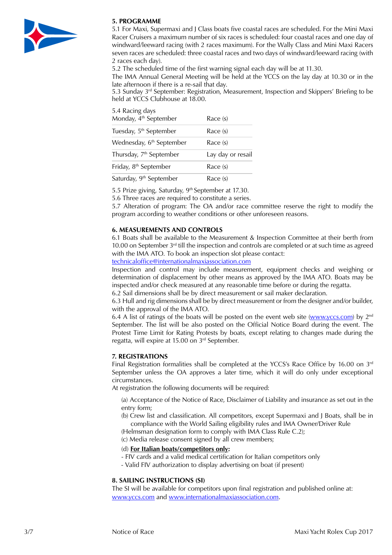

# **5. PROGRAMME**

5.1 For Maxi, Supermaxi and J Class boats five coastal races are scheduled. For the Mini Maxi Racer Cruisers a maximum number of six races is scheduled: four coastal races and one day of windward/leeward racing (with 2 races maximum). For the Wally Class and Mini Maxi Racers seven races are scheduled: three coastal races and two days of windward/leeward racing (with 2 races each day).

5.2 The scheduled time of the first warning signal each day will be at 11.30.

The IMA Annual General Meeting will be held at the YCCS on the lay day at 10.30 or in the late afternoon if there is a re-sail that day.

5.3 Sunday 3<sup>rd</sup> September: Registration, Measurement, Inspection and Skippers' Briefing to be held at YCCS Clubhouse at 18.00.

| 5.4 Racing days                      |                   |
|--------------------------------------|-------------------|
| Monday, 4 <sup>th</sup> September    | Race (s)          |
| Tuesday, 5 <sup>th</sup> September   | Race (s)          |
| Wednesday, 6 <sup>th</sup> September | Race (s)          |
| Thursday, 7 <sup>th</sup> September  | Lay day or resail |
| Friday, 8 <sup>th</sup> September    | Race (s)          |
| Saturday, 9 <sup>th</sup> September  | Race (s)          |

5.5 Prize giving, Saturday, 9<sup>th</sup> September at 17.30.

5.6 Three races are required to constitute a series.

5.7 Alteration of program: The OA and/or race committee reserve the right to modify the program according to weather conditions or other unforeseen reasons.

## **6. MEASUREMENTS AND CONTROLS**

6.1 Boats shall be available to the Measurement & Inspection Committee at their berth from 10.00 on September 3<sup>rd</sup> till the inspection and controls are completed or at such time as agreed with the IMA ATO. To book an inspection slot please contact: [technicaloffice@internationalmaxiassociation.com](mailto:technicaloffice@internationalmaxiassociation.com)

Inspection and control may include measurement, equipment checks and weighing or

determination of displacement by other means as approved by the IMA ATO. Boats may be inspected and/or check measured at any reasonable time before or during the regatta.

6.2 Sail dimensions shall be by direct measurement or sail maker declaration.

6.3 Hull and rig dimensions shall be by direct measurement or from the designer and/or builder, with the approval of the IMA ATO.

6.4 A list of ratings of the boats will be posted on the event web site [\(www.yccs.com\)](http://www.yccs.com) by  $2^{nd}$ September. The list will be also posted on the Official Notice Board during the event. The Protest Time Limit for Rating Protests by boats, except relating to changes made during the regatta, will expire at 15.00 on 3rd September.

# **7. REGISTRATIONS**

Final Registration formalities shall be completed at the YCCS's Race Office by 16.00 on  $3<sup>rd</sup>$ September unless the OA approves a later time, which it will do only under exceptional circumstances.

At registration the following documents will be required:

- (a) Acceptance of the Notice of Race, Disclaimer of Liability and insurance as set out in the entry form;
- (b) Crew list and classification. All competitors, except Supermaxi and J Boats, shall be in compliance with the World Sailing eligibility rules and IMA Owner/Driver Rule

(Helmsman designation form to comply with IMA Class Rule C.2);

(c) Media release consent signed by all crew members;

# (d) **For Italian boats/competitors only:**

- FIV cards and a valid medical certification for Italian competitors only
- Valid FIV authorization to display advertising on boat (if present)

#### **8. SAILING INSTRUCTIONS (SI)**

The SI will be available for competitors upon final registration and published online at: [www.yccs.com](http://www.yccs.com/) and [www.internationalmaxiassociation.com](http://www.internationalmaxiassociation.com/).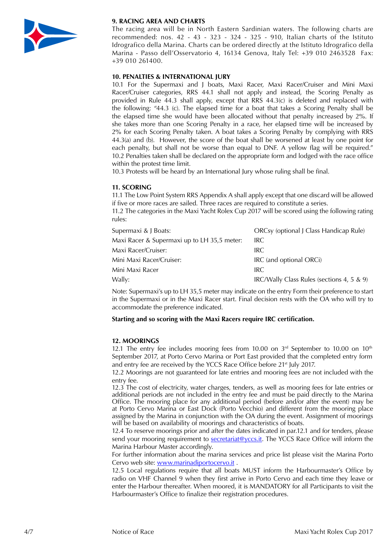

# **9. RACING AREA AND CHARTS**

The racing area will be in North Eastern Sardinian waters. The following charts are recommended: nos. 42 - 43 - 323 - 324 - 325 - 910, Italian charts of the Istituto Idrografico della Marina. Charts can be ordered directly at the Istituto Idrografico della Marina - Passo dell'Osservatorio 4, 16134 Genova, Italy Tel: +39 010 2463528 Fax: +39 010 261400.

## **10. PENALTIES & INTERNATIONAL JURY**

10.1 For the Supermaxi and J boats, Maxi Racer, Maxi Racer/Cruiser and Mini Maxi Racer/Cruiser categories, RRS 44.1 shall not apply and instead, the Scoring Penalty as provided in Rule 44.3 shall apply, except that RRS 44.3(c) is deleted and replaced with the following: "44.3 (c). The elapsed time for a boat that takes a Scoring Penalty shall be the elapsed time she would have been allocated without that penalty increased by 2%. If she takes more than one Scoring Penalty in a race, her elapsed time will be increased by 2% for each Scoring Penalty taken. A boat takes a Scoring Penalty by complying with RRS 44.3(a) and (b). However, the score of the boat shall be worsened at least by one point for each penalty, but shall not be worse than equal to DNF. A yellow flag will be required." 10.2 Penalties taken shall be declared on the appropriate form and lodged with the race office within the protest time limit.

10.3 Protests will be heard by an International Jury whose ruling shall be final.

## **11. SCORING**

11.1 The Low Point System RRS Appendix A shall apply except that one discard will be allowed if five or more races are sailed. Three races are required to constitute a series.

11.2 The categories in the Maxi Yacht Rolex Cup 2017 will be scored using the following rating rules:

| Supermaxi & J Boats:                        | ORCsy (optional J Class Handicap Rule)    |
|---------------------------------------------|-------------------------------------------|
| Maxi Racer & Supermaxi up to LH 35,5 meter: | IRC.                                      |
| Maxi Racer/Cruiser:                         | IRC.                                      |
| Mini Maxi Racer/Cruiser:                    | IRC (and optional ORCi)                   |
| Mini Maxi Racer                             | IRC.                                      |
| Wally:                                      | IRC/Wally Class Rules (sections 4, 5 & 9) |

Note: Supermaxi's up to LH 35,5 meter may indicate on the entry Form their preference to start in the Supermaxi or in the Maxi Racer start. Final decision rests with the OA who will try to accommodate the preference indicated.

#### **Starting and so scoring with the Maxi Racers require IRC certification.**

#### **12. MOORINGS**

12.1 The entry fee includes mooring fees from 10.00 on  $3<sup>rd</sup>$  September to 10.00 on  $10<sup>th</sup>$ September 2017, at Porto Cervo Marina or Port East provided that the completed entry form and entry fee are received by the YCCS Race Office before 21<sup>st</sup> July 2017.

12.2 Moorings are not guaranteed for late entries and mooring fees are not included with the entry fee.

12.3 The cost of electricity, water charges, tenders, as well as mooring fees for late entries or additional periods are not included in the entry fee and must be paid directly to the Marina Office. The mooring place for any additional period (before and/or after the event) may be at Porto Cervo Marina or East Dock (Porto Vecchio) and different from the mooring place assigned by the Marina in conjunction with the OA during the event. Assignment of moorings will be based on availability of moorings and characteristics of boats.

12.4 To reserve moorings prior and after the dates indicated in par.12.1 and for tenders, please send your mooring requirement to [secretariat@yccs.it.](mailto:secretariat@yccs.it) The YCCS Race Office will inform the Marina Harbour Master accordingly.

For further information about the marina services and price list please visit the Marina Porto Cervo web site: [www.marinadiportocervo.it](http://www.marinadiportocervo.it).

12.5 Local regulations require that all boats MUST inform the Harbourmaster's Office by radio on VHF Channel 9 when they first arrive in Porto Cervo and each time they leave or enter the Harbour thereafter. When moored, it is MANDATORY for all Participants to visit the Harbourmaster's Office to finalize their registration procedures.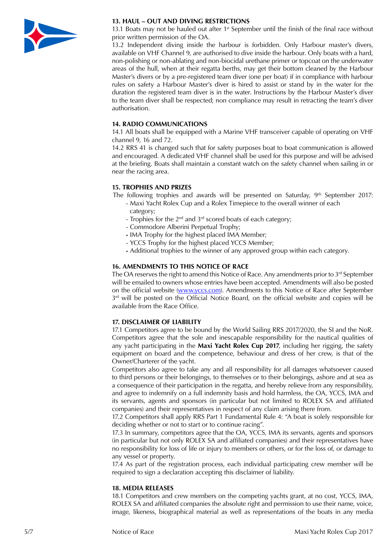

## **13. HAUL – OUT AND DIVING RESTRICTIONS**

13.1 Boats may not be hauled out after 1<sup>st</sup> September until the finish of the final race without prior written permission of the OA.

13.2 Independent diving inside the harbour is forbidden. Only Harbour master's divers, available on VHF Channel 9, are authorised to dive inside the harbour. Only boats with a hard, non-polishing or non-ablating and non-biocidal urethane primer or topcoat on the underwater areas of the hull, when at their regatta berths, may get their bottom cleaned by the Harbour Master's divers or by a pre-registered team diver (one per boat) if in compliance with harbour rules on safety a Harbour Master's diver is hired to assist or stand by in the water for the duration the registered team diver is in the water. Instructions by the Harbour Master's diver to the team diver shall be respected; non compliance may result in retracting the team's diver authorisation.

## **14. RADIO COMMUNICATIONS**

14.1 All boats shall be equipped with a Marine VHF transceiver capable of operating on VHF channel 9, 16 and 72.

14.2 RRS 41 is changed such that for safety purposes boat to boat communication is allowed and encouraged. A dedicated VHF channel shall be used for this purpose and will be advised at the briefing. Boats shall maintain a constant watch on the safety channel when sailing in or near the racing area.

## **15. TROPHIES AND PRIZES**

The following trophies and awards will be presented on Saturday, 9<sup>th</sup> September 2017:

- Maxi Yacht Rolex Cup and a Rolex Timepiece to the overall winner of each category;
	- Trophies for the  $2^{nd}$  and  $3^{rd}$  scored boats of each category;
	- Commodore Alberini Perpetual Trophy;
	- IMA Trophy for the highest placed IMA Member;
	- YCCS Trophy for the highest placed YCCS Member;
	- Additional trophies to the winner of any approved group within each category.

## **16. AMENDMENTS TO THIS NOTICE OF RACE**

The OA reserves the right to amend this Notice of Race. Any amendments prior to  $3^{rd}$  September will be emailed to owners whose entries have been accepted. Amendments will also be posted on the official website ([www.yccs.com](http://www.yccs.com)). Amendments to this Notice of Race after September  $3<sup>rd</sup>$  will be posted on the Official Notice Board, on the official website and copies will be available from the Race Office.

# **17. DISCLAIMER OF LIABILITY**

17.1 Competitors agree to be bound by the World Sailing RRS 2017/2020, the SI and the NoR. Competitors agree that the sole and inescapable responsibility for the nautical qualities of any yacht participating in the **Maxi Yacht Rolex Cup 2017**, including her rigging, the safety equipment on board and the competence, behaviour and dress of her crew, is that of the Owner/Charterer of the yacht.

Competitors also agree to take any and all responsibility for all damages whatsoever caused to third persons or their belongings, to themselves or to their belongings, ashore and at sea as a consequence of their participation in the regatta, and hereby relieve from any responsibility, and agree to indemnify on a full indemnity basis and hold harmless, the OA, YCCS, IMA and its servants, agents and sponsors (in particular but not limited to ROLEX SA and affiliated companies) and their representatives in respect of any claim arising there from.

17.2 Competitors shall apply RRS Part 1 Fundamental Rule 4: "A boat is solely responsible for deciding whether or not to start or to continue racing".

17.3 In summary, competitors agree that the OA, YCCS, IMA its servants, agents and sponsors (in particular but not only ROLEX SA and affiliated companies) and their representatives have no responsibility for loss of life or injury to members or others, or for the loss of, or damage to any vessel or property.

17.4 As part of the registration process, each individual participating crew member will be required to sign a declaration accepting this disclaimer of liability.

#### **18. MEDIA RELEASES**

18.1 Competitors and crew members on the competing yachts grant, at no cost, YCCS, IMA, ROLEX SA and affiliated companies the absolute right and permission to use their name, voice, image, likeness, biographical material as well as representations of the boats in any media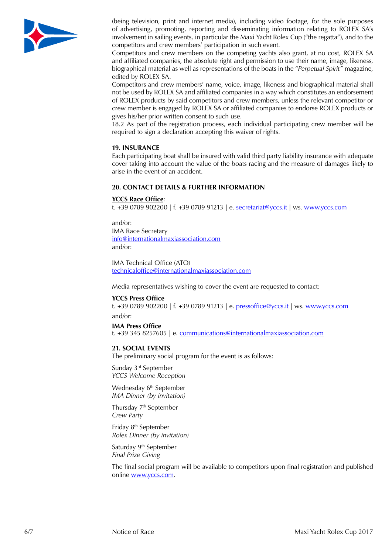

(being television, print and internet media), including video footage, for the sole purposes of advertising, promoting, reporting and disseminating information relating to ROLEX SA's involvement in sailing events, in particular the Maxi Yacht Rolex Cup ("the regatta"), and to the competitors and crew members' participation in such event.

Competitors and crew members on the competing yachts also grant, at no cost, ROLEX SA and affiliated companies, the absolute right and permission to use their name, image, likeness, biographical material as well as representations of the boats in the "*Perpetual Spirit"* magazine, edited by ROLEX SA.

Competitors and crew members' name, voice, image, likeness and biographical material shall not be used by ROLEX SA and affiliated companies in a way which constitutes an endorsement of ROLEX products by said competitors and crew members, unless the relevant competitor or crew member is engaged by ROLEX SA or affiliated companies to endorse ROLEX products or gives his/her prior written consent to such use.

18.2 As part of the registration process, each individual participating crew member will be required to sign a declaration accepting this waiver of rights.

#### **19. INSURANCE**

Each participating boat shall be insured with valid third party liability insurance with adequate cover taking into account the value of the boats racing and the measure of damages likely to arise in the event of an accident.

#### **20. CONTACT DETAILS & FURTHER INFORMATION**

#### **YCCS Race Office**:

t. +39 0789 902200 | f. +39 0789 91213 | e. [secretariat@yccs.it](file:///Volumes/WD%20Elements/Clienti/Yacht%20Club/2017/Riviste/Urgenti/materiale/../AppData/Local/Microsoft/Windows/Temporary Internet Files/Content.Outlook/AppData/Local/Microsoft/Windows/Temporary Internet Files/Content.Outlook/Library/Caches/TemporaryItems/Outlook Temp/secretariat@yccs.it) | ws. [www.yccs.com](http://www.yccs.com)

and/or: IMA Race Secretary [info@internationalmaxiassociation.com](mailto:info@internationalmaxiassociation.com) and/or:

IMA Technical Office (ATO) [technicaloffice@internationalmaxiassociation.com](mailto:technicaloffice@internationalmaxiassociation.com)

Media representatives wishing to cover the event are requested to contact:

#### **YCCS Press Office**

t. +39 0789 902200 | f. +39 0789 91213 | e. [pressoffice@yccs.it](mailto:pressoffice@yccs.it) | ws. [www.yccs.com](http://www.yccs.com) and/or:

#### **IMA Press Office**

t. +39 345 8257605 | e. [communications@internationalmaxiassociation.com](mailto:communications@internationalmaxiassociation.com)

#### **21. SOCIAL EVENTS**

The preliminary social program for the event is as follows:

Sunday 3rd September *YCCS Welcome Reception*

Wednesday 6<sup>th</sup> September *IMA Dinner (by invitation)*

Thursday 7<sup>th</sup> September *Crew Party*

Friday 8th September *Rolex Dinner (by invitation)*

Saturday 9<sup>th</sup> September *Final Prize Giving*

The final social program will be available to competitors upon final registration and published online [www.yccs.com.](http://www.yccs.com)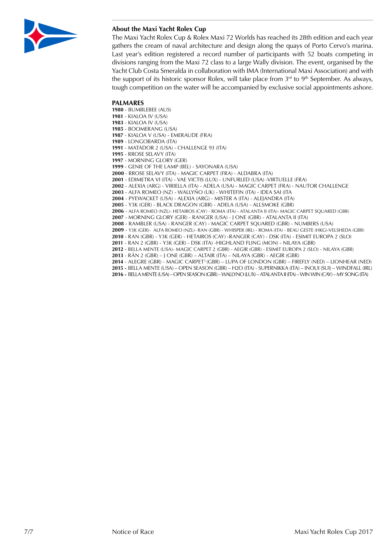

# **About the Maxi Yacht Rolex Cup**

The Maxi Yacht Rolex Cup & Rolex Maxi 72 Worlds has reached its 28th edition and each year gathers the cream of naval architecture and design along the quays of Porto Cervo's marina. Last year's edition registered a record number of participants with 52 boats competing in divisions ranging from the Maxi 72 class to a large Wally division. The event, organised by the Yacht Club Costa Smeralda in collaboration with IMA (International Maxi Association) and with the support of its historic sponsor Rolex, will take place from  $3<sup>rd</sup>$  to  $9<sup>th</sup>$  September. As always, tough competition on the water will be accompanied by exclusive social appointments ashore.

#### **PALMARES**

- BUMBLEBEE (AUS)

- KIALOA IV (USA)
- KIALOA IV (USA)
- BOOMERANG (USA) - KIALOA V (USA) - EMERAUDE (FRA)
- LONGOBARDA (ITA)
- MATADOR 2 (USA) CHALLENGE 93 (ITA)
- RROSE SELAVY (ITA)
- MORNING GLORY (GER)
- GENIE OF THE LAMP (BEL) SAYONARA (USA)
- RROSE SELAVY (ITA) MAGIC CARPET (FRA) ALDABRA (ITA)
- EDIMETRA VI (ITA) VAE VICTIS (LUX) UNFURLED (USA) -VIRTUELLE (FRA)
- ALEXIA (ARG) VIRIELLA (ITA) ADELA (USA) MAGIC CARPET (FRA) NAUTOR CHALLENGE
- ALFA ROMEO (NZ) WALLYÑO (UK) WHITEFIN (ITA) IDEA SAI (ITA
- PYEWACKET (USA) ALEXIA (ARG) MISTER A (ITA) ALEJANDRA (ITA)
- Y3K (GER) BLACK DRAGON (GBR) ADELA (USA) ALLSMOKE (GBR)
- ALFA ROMEO (NZL)- HETAIROS (CAY) ROMA (ITA) ATALANTA II (ITA)- MAGIC CARPET SQUARED (GBR)
- MORNING GLORY (GER) RANGER (USA) J ONE (GBR) ATALANTA II (ITA)
- RAMBLER (USA) RANGER (CAY) MAGIC CARPET SQUARED (GBR) NUMBERS (USA)
- Y3K (GER)- ALFA ROMEO (NZL)- RAN (GBR) WHISPER (IRL) ROMA (ITA) BEAU GESTE (HKG)-VELSHEDA (GBR)
- RAN (GBR) Y3K (GER) HETAIROS (CAY) -RANGER (CAY) DSK (ITA) ESIMIT EUROPA 2 (SLO)
- RAN 2 (GBR) Y3K (GER) DSK (ITA) -HIGHLAND FLING (MON) NILAYA (GBR)
- BELLA MENTE (USA)- MAGIC CARPET 2 (GBR) AEGIR (GBR) ESIMIT EUROPA 2 (SLO) NILAYA (GBR)
- RÁN 2 (GBR) J ONE (GBR) ALTAIR (ITA) NILAYA (GBR) AEGIR (GBR)
- ALEGRE (GBR) MAGIC CARPET3 (GBR) LUPA OF LONDON (GBR) FIREFLY (NED) LIONHEAR (NED)
- **2015** BELLA MENTE (USA) OPEN SEASON (GBR) H2O (ITA) SUPERNIKKA (ITA) INOUI (SUI) WINDFALL (IRL)
- **2016** BELLA MENTE (USA) OPEN SEASON (GBR) WALLYNO (LUX) ATALANTA II (ITA) WIN WIN (CAY) MY SONG (ITA)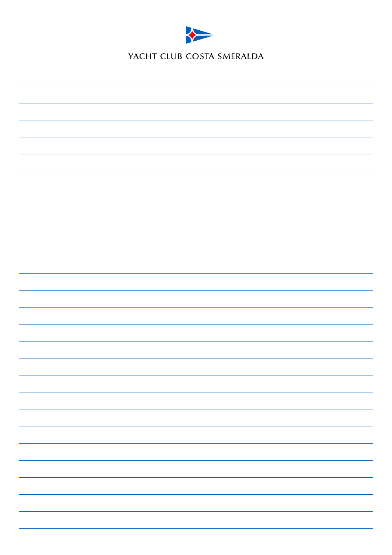

YACHT CLUB COSTA SMERALDA